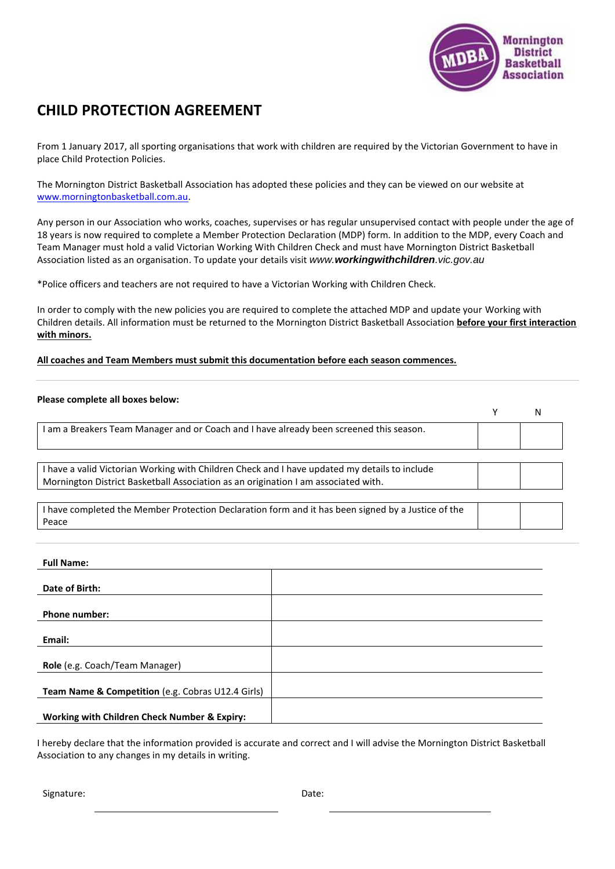

## **CHILD PROTECTION AGREEMENT**

From 1 January 2017, all sporting organisations that work with children are required by the Victorian Government to have in place Child Protection Policies.

The Mornington District Basketball Association has adopted these policies and they can be viewed on our website at [www.morningtonbasketball.com.au.](http://www.morningtonbasketball.com.au/)

Any person in our Association who works, coaches, supervises or has regular unsupervised contact with people under the age of 18 years is now required to complete a Member Protection Declaration (MDP) form. In addition to the MDP, every Coach and Team Manager must hold a valid Victorian Working With Children Check and must have Mornington District Basketball Association listed as an organisation. To update your details visit *www.workingwithchildren.vic.gov.au*

\*Police officers and teachers are not required to have a Victorian Working with Children Check.

In order to comply with the new policies you are required to complete the attached MDP and update your Working with Children details. All information must be returned to the Mornington District Basketball Association **before your first interaction with minors.** 

## **All coaches and Team Members must submit this documentation before each season commences.**

| Please complete all boxes below:                                                                                                                                                    |   |   |
|-------------------------------------------------------------------------------------------------------------------------------------------------------------------------------------|---|---|
|                                                                                                                                                                                     | v | N |
| I am a Breakers Team Manager and or Coach and I have already been screened this season.                                                                                             |   |   |
| I have a valid Victorian Working with Children Check and I have updated my details to include<br>Mornington District Basketball Association as an origination I am associated with. |   |   |
| I have completed the Member Protection Declaration form and it has been signed by a Justice of the<br>Peace                                                                         |   |   |

| <b>Full Name:</b>                                 |  |
|---------------------------------------------------|--|
|                                                   |  |
| Date of Birth:                                    |  |
|                                                   |  |
| <b>Phone number:</b>                              |  |
|                                                   |  |
| Email:                                            |  |
|                                                   |  |
| Role (e.g. Coach/Team Manager)                    |  |
|                                                   |  |
| Team Name & Competition (e.g. Cobras U12.4 Girls) |  |
|                                                   |  |
| Working with Children Check Number & Expiry:      |  |

I hereby declare that the information provided is accurate and correct and I will advise the Mornington District Basketball Association to any changes in my details in writing.

Signature: Date: Date: Date: Date: Date: Date: Date: Date: Date: Date: Date: Date: Date: Date: Date: Date: Date: Date: Date: Date:  $\sim$  Date: Date: Date: Date: Date: Date: Date: Date: Date: Date: Date: Date: Date: Date: Da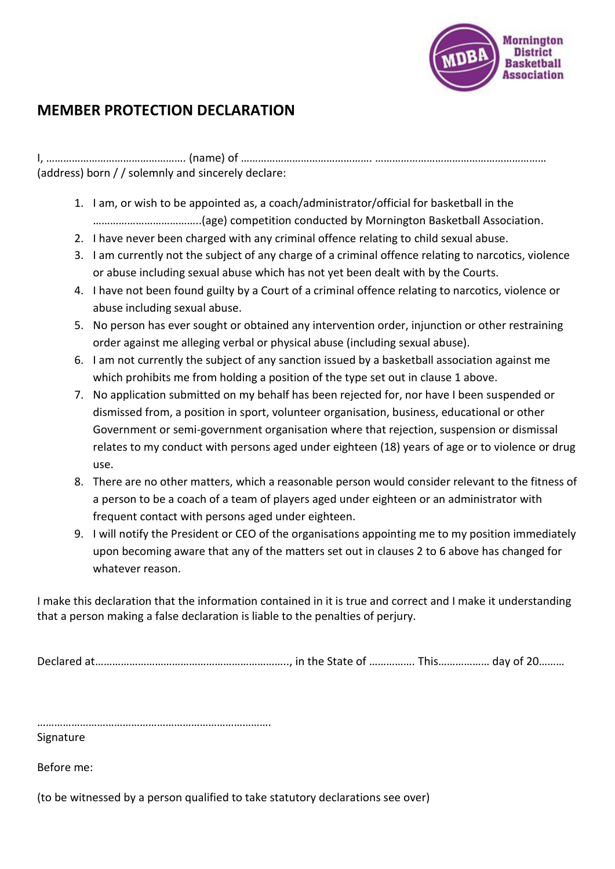

## **MEMBER PROTECTION DECLARATION**

I, …………………………………………. (name) of ………………………………………. …………………………………………………… (address) born / / solemnly and sincerely declare:

- 1. I am, or wish to be appointed as, a coach/administrator/official for basketball in the ………………………………..(age) competition conducted by Mornington Basketball Association.
- 2. I have never been charged with any criminal offence relating to child sexual abuse.
- 3. I am currently not the subject of any charge of a criminal offence relating to narcotics, violence or abuse including sexual abuse which has not yet been dealt with by the Courts.
- 4. I have not been found guilty by a Court of a criminal offence relating to narcotics, violence or abuse including sexual abuse.
- 5. No person has ever sought or obtained any intervention order, injunction or other restraining order against me alleging verbal or physical abuse (including sexual abuse).
- 6. I am not currently the subject of any sanction issued by a basketball association against me which prohibits me from holding a position of the type set out in clause 1 above.
- 7. No application submitted on my behalf has been rejected for, nor have I been suspended or dismissed from, a position in sport, volunteer organisation, business, educational or other Government or semi-government organisation where that rejection, suspension or dismissal relates to my conduct with persons aged under eighteen (18) years of age or to violence or drug use.
- 8. There are no other matters, which a reasonable person would consider relevant to the fitness of a person to be a coach of a team of players aged under eighteen or an administrator with frequent contact with persons aged under eighteen.
- 9. I will notify the President or CEO of the organisations appointing me to my position immediately upon becoming aware that any of the matters set out in clauses 2 to 6 above has changed for whatever reason.

I make this declaration that the information contained in it is true and correct and I make it understanding that a person making a false declaration is liable to the penalties of perjury.

Declared at………………………………………………………….., in the State of ……………. This……………… day of 20………

……………………………………………………………………….

**Signature** 

Before me:

(to be witnessed by a person qualified to take statutory declarations see over)